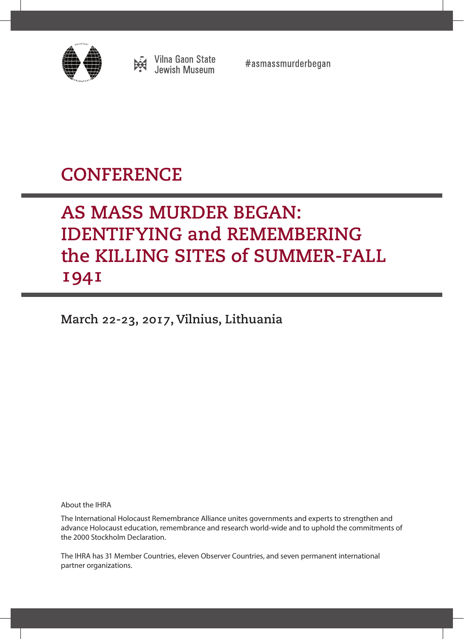

**Vilna Gaon State<br>Jewish Museum** 

#asmassmurderbegan

# **CONFERENCE**

# AS MASS MURDER BEGAN: IDENTIFYING and REMEMBERING the KILLING SITES of SUMMER-FALL 1941

March 22-23, 2017, Vilnius, Lithuania

About the IHRA

The International Holocaust Remembrance Alliance unites governments and experts to strengthen and advance Holocaust education, remembrance and research world-wide and to uphold the commitments of the 2000 Stockholm Declaration.

The IHRA has 31 Member Countries, eleven Observer Countries, and seven permanent international partner organizations.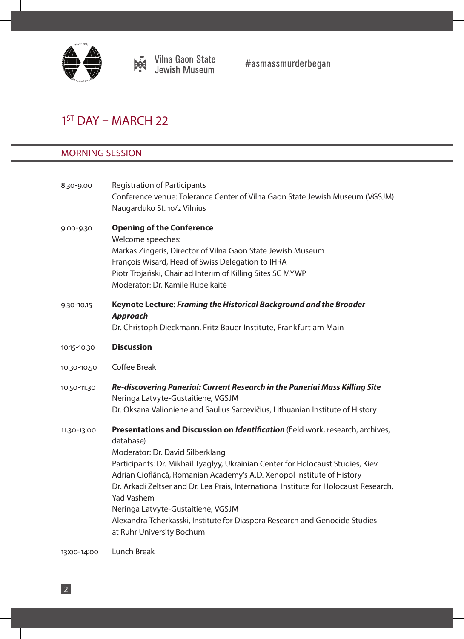

 $#$ asmassmurderbegan

# $1<sup>ST</sup>$  DAY – MARCH 22

# MORNING SESSION

| 8.30-9.00   | <b>Registration of Participants</b>                                                                                                                             |
|-------------|-----------------------------------------------------------------------------------------------------------------------------------------------------------------|
|             | Conference venue: Tolerance Center of Vilna Gaon State Jewish Museum (VGSJM)                                                                                    |
|             | Naugarduko St. 10/2 Vilnius                                                                                                                                     |
| 9.00-9.30   | <b>Opening of the Conference</b>                                                                                                                                |
|             | Welcome speeches:                                                                                                                                               |
|             | Markas Zingeris, Director of Vilna Gaon State Jewish Museum                                                                                                     |
|             | François Wisard, Head of Swiss Delegation to IHRA                                                                                                               |
|             | Piotr Trojański, Chair ad Interim of Killing Sites SC MYWP                                                                                                      |
|             | Moderator: Dr. Kamilė Rupeikaitė                                                                                                                                |
| 9.30-10.15  | Keynote Lecture: Framing the Historical Background and the Broader<br><b>Approach</b>                                                                           |
|             | Dr. Christoph Dieckmann, Fritz Bauer Institute, Frankfurt am Main                                                                                               |
| 10.15-10.30 | <b>Discussion</b>                                                                                                                                               |
| 10.30-10.50 | <b>Coffee Break</b>                                                                                                                                             |
| 10.50-11.30 | Re-discovering Paneriai: Current Research in the Paneriai Mass Killing Site                                                                                     |
|             | Neringa Latvytė-Gustaitienė, VGSJM                                                                                                                              |
|             | Dr. Oksana Valionienė and Saulius Sarcevičius, Lithuanian Institute of History                                                                                  |
| 11.30-13:00 | Presentations and Discussion on Identification (field work, research, archives,                                                                                 |
|             | database)                                                                                                                                                       |
|             | Moderator: Dr. David Silberklang                                                                                                                                |
|             | Participants: Dr. Mikhail Tyaglyy, Ukrainian Center for Holocaust Studies, Kiev                                                                                 |
|             | Adrian Cioflâncă, Romanian Academy's A.D. Xenopol Institute of History<br>Dr. Arkadi Zeltser and Dr. Lea Prais, International Institute for Holocaust Research, |
|             |                                                                                                                                                                 |
|             | <b>Yad Vashem</b>                                                                                                                                               |
|             | Neringa Latvytė-Gustaitienė, VGSJM<br>Alexandra Tcherkasski, Institute for Diaspora Research and Genocide Studies                                               |
|             |                                                                                                                                                                 |
|             | at Ruhr University Bochum                                                                                                                                       |
| 13:00-14:00 | Lunch Break                                                                                                                                                     |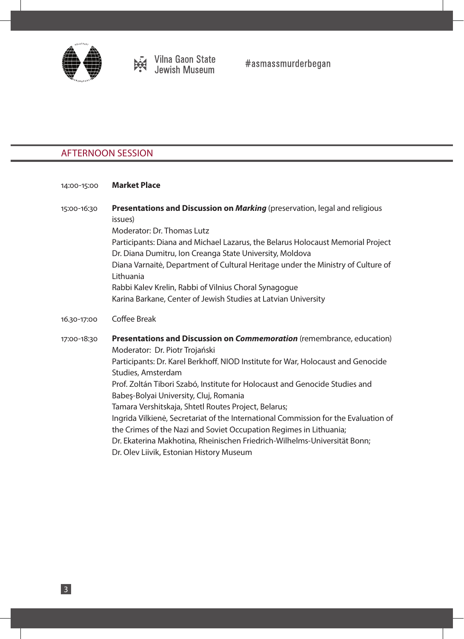

## AFTERNOON SESSION

#### 14:00-15:00 **Market Place**

15:00-16:30 **Presentations and Discussion on** *Marking* (preservation, legal and religious issues) Moderator: Dr. Thomas Lutz Participants: Diana and Michael Lazarus, the Belarus Holocaust Memorial Project Dr. Diana Dumitru, Ion Creanga State University, Moldova Diana Varnaitė, Department of Cultural Heritage under the Ministry of Culture of Lithuania Rabbi Kalev Krelin, Rabbi of Vilnius Choral Synagogue Karina Barkane, Center of Jewish Studies at Latvian University 16.30-17:00 Coffee Break 17:00-18:30 **Presentations and Discussion on** *Commemoration* (remembrance, education) Moderator: Dr. Piotr Trojański Participants: Dr. Karel Berkhoff, NIOD Institute for War, Holocaust and Genocide Studies, Amsterdam Prof. Zoltán Tibori Szabó, Institute for Holocaust and Genocide Studies and

- Babeş-Bolyai University, Cluj, Romania
- Tamara Vershitskaja, Shtetl Routes Project, Belarus;
- Ingrida Vilkienė, Secretariat of the International Commission for the Evaluation of the Crimes of the Nazi and Soviet Occupation Regimes in Lithuania;
- Dr. Ekaterina Makhotina, Rheinischen Friedrich-Wilhelms-Universität Bonn;
- Dr. Olev Liivik, Estonian History Museum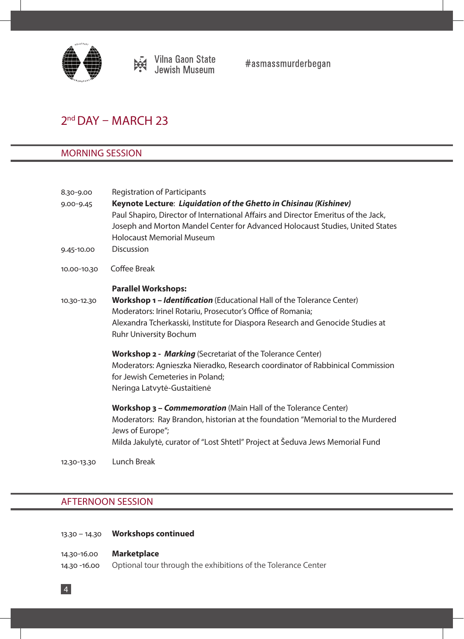

# 2<sup>nd</sup> DAY – MARCH 23

## MORNING SESSION

| 8.30-9.00     | <b>Registration of Participants</b>                                                                                                                     |
|---------------|---------------------------------------------------------------------------------------------------------------------------------------------------------|
| $9.00 - 9.45$ | Keynote Lecture: Liquidation of the Ghetto in Chisinau (Kishinev)<br>Paul Shapiro, Director of International Affairs and Director Emeritus of the Jack, |
|               | Joseph and Morton Mandel Center for Advanced Holocaust Studies, United States<br><b>Holocaust Memorial Museum</b>                                       |
| 9.45-10.00    | <b>Discussion</b>                                                                                                                                       |
| 10.00-10.30   | <b>Coffee Break</b>                                                                                                                                     |
|               | <b>Parallel Workshops:</b>                                                                                                                              |
| 10.30-12.30   | <b>Workshop 1 – Identification</b> (Educational Hall of the Tolerance Center)                                                                           |
|               | Moderators: Irinel Rotariu, Prosecutor's Office of Romania;                                                                                             |
|               | Alexandra Tcherkasski, Institute for Diaspora Research and Genocide Studies at<br>Ruhr University Bochum                                                |
|               | <b>Workshop 2 - Marking</b> (Secretariat of the Tolerance Center)                                                                                       |
|               | Moderators: Agnieszka Nieradko, Research coordinator of Rabbinical Commission<br>for Jewish Cemeteries in Poland;<br>Neringa Latvytė-Gustaitienė        |
|               | Workshop 3 - Commemoration (Main Hall of the Tolerance Center)                                                                                          |
|               | Moderators: Ray Brandon, historian at the foundation "Memorial to the Murdered<br>Jews of Europe";                                                      |
|               | Milda Jakulytė, curator of "Lost Shtetl" Project at Šeduva Jews Memorial Fund                                                                           |

12.30-13.30 Lunch Break

## AFTERNOON SESSION

4

- 13.30 14.30 **Workshops continued**
- 14.30-16.00 **Marketplace** 14.30 -16.00 Optional tour through the exhibitions of the Tolerance Center